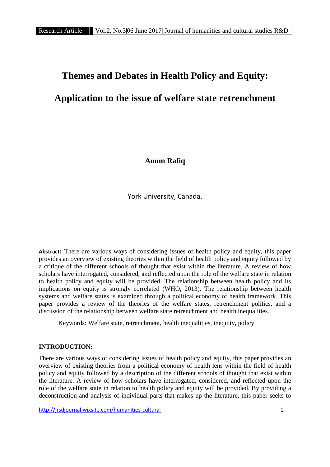# **Themes and Debates in Health Policy and Equity:**

# **Application to the issue of welfare state retrenchment**

**Anum Rafiq**

York University, Canada.

**Abstract:** There are various ways of considering issues of health policy and equity, this paper provides an overview of existing theories within the field of health policy and equity followed by a critique of the different schools of thought that exist within the literature. A review of how scholars have interrogated, considered, and reflected upon the role of the welfare state in relation to health policy and equity will be provided. The relationship between health policy and its implications on equity is strongly correlated (WHO, 2013). The relationship between health systems and welfare states is examined through a political economy of health framework. This paper provides a review of the theories of the welfare states, retrenchment politics, and a discussion of the relationship between welfare state retrenchment and health inequalities.

Keywords: Welfare state, retrenchment, health inequalities, inequity, policy

## **INTRODUCTION:**

There are various ways of considering issues of health policy and equity, this paper provides an overview of existing theories from a political economy of health lens within the field of health policy and equity followed by a description of the different schools of thought that exist within the literature. A review of how scholars have interrogated, considered, and reflected upon the role of the welfare state in relation to health policy and equity will be provided. By providing a deconstruction and analysis of individual parts that makes up the literature, this paper seeks to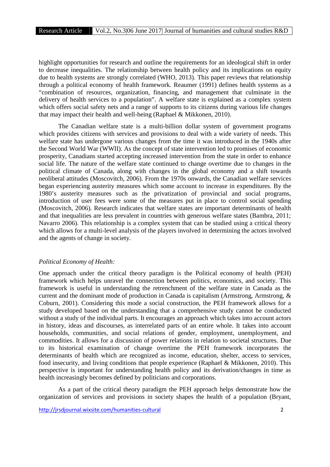highlight opportunities for research and outline the requirements for an ideological shift in order to decrease inequalities. The relationship between health policy and its implications on equity due to health systems are strongly correlated (WHO, 2013). This paper reviews that relationship through a political economy of health framework. Reaumer (1991) defines health systems as a "combination of resources, organization, financing, and management that culminate in the delivery of health services to a population". A welfare state is explained as a complex system which offers social safety nets and a range of supports to its citizens during various life changes that may impact their health and well-being (Raphael & Mikkonen, 2010).

The Canadian welfare state is a multi-billion dollar system of government programs which provides citizens with services and provisions to deal with a wide variety of needs. This welfare state has undergone various changes from the time it was introduced in the 1940s after the Second World War (WWII). As the concept of state intervention led to promises of economic prosperity, Canadians started accepting increased intervention from the state in order to enhance social life. The nature of the welfare state continued to change overtime due to changes in the political climate of Canada, along with changes in the global economy and a shift towards neoliberal attitudes (Moscovitch, 2006). From the 1970s onwards, the Canadian welfare services began experiencing austerity measures which some account to increase in expenditures. By the 1980's austerity measures such as the privatization of provincial and social programs, introduction of user fees were some of the measures put in place to control social spending (Moscovitch, 2006). Research indicates that welfare states are important determinants of health and that inequalities are less prevalent in countries with generous welfare states (Bambra, 2011; Navarro 2006). This relationship is a complex system that can be studied using a critical theory which allows for a multi-level analysis of the players involved in determining the actors involved and the agents of change in society.

#### *Political Economy of Health:*

One approach under the critical theory paradigm is the Political economy of health (PEH) framework which helps unravel the connection between politics, economics, and society. This framework is useful in understanding the retrenchment of the welfare state in Canada as the current and the dominant mode of production in Canada is capitalism (Armstrong, Armstrong, & Coburn, 2001). Considering this mode a social construction, the PEH framework allows for a study developed based on the understanding that a comprehensive study cannot be conducted without a study of the individual parts. It encourages an approach which takes into account actors in history, ideas and discourses, as interrelated parts of an entire whole. It takes into account households, communities, and social relations of gender, employment, unemployment, and commodities. It allows for a discussion of power relations in relation to societal structures. Due to its historical examination of change overtime the PEH framework incorporates the determinants of health which are recognized as income, education, shelter, access to services, food insecurity, and living conditions that people experience (Raphael & Mikkonen, 2010). This perspective is important for understanding health policy and its derivation/changes in time as health increasingly becomes defined by politicians and corporations.

As a part of the critical theory paradigm the PEH approach helps demonstrate how the organization of services and provisions in society shapes the health of a population (Bryant,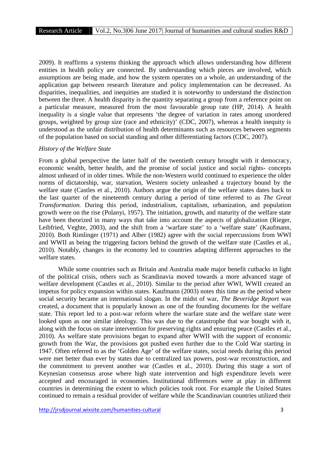2009). It reaffirms a systems thinking the approach which allows understanding how different entities in health policy are connected. By understanding which pieces are involved, which assumptions are being made, and how the system operates on a whole, an understanding of the application gap between research literature and policy implementation can be decreased. As disparities, inequalities, and inequities are studied it is noteworthy to understand the distinction between the three. A health disparity is the quantity separating a group from a reference point on a particular measure, measured from the most favourable group rate (HP, 2014). A health inequality is a single value that represents 'the degree of variation in rates among unordered groups, weighted by group size (race and ethnicity)' (CDC, 2007), whereas a health inequity is understood as the unfair distribution of health determinants such as resources between segments of the population based on social standing and other differentiating factors (CDC, 2007).

#### *History of the Welfare State*

From a global perspective the latter half of the twentieth century brought with it democracy, economic wealth, better health, and the promise of social justice and social rights- concepts almost unheard of in older times. While the non-Western world continued to experience the older norms of dictatorship, war, starvation, Western society unleashed a trajectory bound by the welfare state (Castles et al., 2010). Authors argue the origin of the welfare states dates back to the last quarter of the nineteenth century during a period of time referred to as *The Great Transformation.* During this period, industrialism, capitalism, urbanization, and population growth were on the rise (Polanyi, 1957). The initiation, growth, and maturity of the welfare state have been theorized in many ways that take into account the aspects of globalization (Rieger, Leibfried, Veghte, 2003), and the shift from a 'warfare state' to a 'welfare state' (Kaufmann, 2010). Both Rimlinger (1971) and Alber (1982) agree with the social repercussions from WWI and WWII as being the triggering factors behind the growth of the welfare state (Castles et al., 2010). Notably, changes in the economy led to countries adapting different approaches to the welfare states.

While some countries such as Britain and Australia made major benefit cutbacks in light of the political crisis, others such as Scandinavia moved towards a more advanced stage of welfare development (Castles et al., 2010). Similar to the period after WWI, WWII created an impetus for policy expansion within states. Kaufmann (2003) notes this time as the period where social security became an international slogan. In the midst of war, *The Beveridge Report* was created, a document that is popularly known as one of the founding documents for the welfare state. This report led to a post-war reform where the warfare state and the welfare state were looked upon as one similar ideology. This was due to the catastrophe that war bought with it, along with the focus on state intervention for preserving rights and ensuring peace (Castles et al., 2010). As welfare state provisions began to expand after WWII with the support of economic growth from the War, the provisions got pushed even further due to the Cold War starting in 1947. Often referred to as the 'Golden Age' of the welfare states, social needs during this period were met better than ever by states due to centralized tax powers, post-war reconstruction, and the commitment to prevent another war (Castles et al., 2010). During this stage a sort of Keynesian consensus arose where high state intervention and high expenditure levels were accepted and encouraged in economies. Institutional differences were at play in different countries in determining the extent to which policies took root. For example the United States continued to remain a residual provider of welfare while the Scandinavian countries utilized their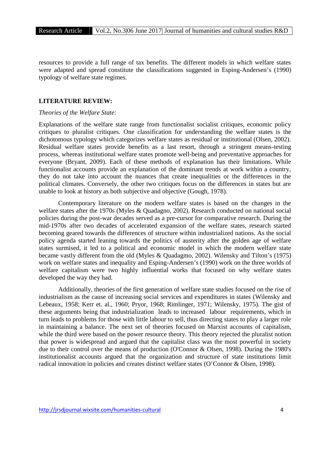resources to provide a full range of tax benefits. The different models in which welfare states were adapted and spread constitute the classifications suggested in Esping-Andersen's (1990) typology of welfare state regimes.

## **LITERATURE REVIEW:**

# *Theories of the Welfare State:*

Explanations of the welfare state range from functionalist socialist critiques, economic policy critiques to pluralist critiques. One classification for understanding the welfare states is the dichotomous typology which categorizes welfare states as residual or institutional (Olsen, 2002). Residual welfare states provide benefits as a last resort, through a stringent means-testing process, whereas institutional welfare states promote well-being and preventative approaches for everyone (Bryant, 2009). Each of these methods of explanation has their limitations. While functionalist accounts provide an explanation of the dominant trends at work within a country, they do not take into account the nuances that create inequalities or the differences in the political climates. Conversely, the other two critiques focus on the differences in states but are unable to look at history as both subjective and objective (Gough, 1978).

Contemporary literature on the modern welfare states is based on the changes in the welfare states after the 1970s (Myles & Quadagno, 2002). Research conducted on national social policies during the post-war decades served as a pre-cursor for comparative research. During the mid-1970s after two decades of accelerated expansion of the welfare states, research started becoming geared towards the differences of structure within industrialized nations. As the social policy agenda started leaning towards the politics of austerity after the golden age of welfare states surmised, it led to a political and economic model in which the modern welfare state became vastly different from the old (Myles & Quadagmo, 2002). Wilensky and Tilton's (1975) work on welfare states and inequality and Esping-Andersen's (1990) work on the three worlds of welfare capitalism were two highly influential works that focused on why welfare states developed the way they had.

Additionally, theories of the first generation of welfare state studies focused on the rise of industrialism as the cause of increasing social services and expenditures in states (Wilensky and Lebeaux, 1958; Kerr et. al., 1960; Pryor, 1968; Rimlinger, 1971; Wilensky, 1975). The gist of these arguments being that industrialization leads to increased labour requirements, which in turn leads to problems for those with little labour to sell, thus directing states to play a larger role in maintaining a balance. The next set of theories focused on Marxist accounts of capitalism, while the third were based on the power resource theory. This theory rejected the pluralist notion that power is widespread and argued that the capitalist class was the most powerful in society due to their control over the means of production (O'Connor & Olsen, 1998). During the 1980's institutionalist accounts argued that the organization and structure of state institutions limit radical innovation in policies and creates distinct welfare states (O'Connor & Olsen, 1998).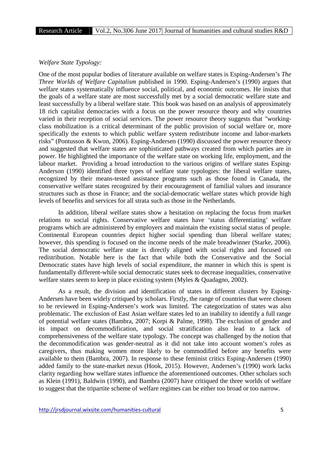#### *Welfare State Typology:*

One of the most popular bodies of literature available on welfare states is Esping-Andersen's *The Three Worlds of Welfare Capitalism* published in 1990. Esping-Andersen's (1990) argues that welfare states systematically influence social, political, and economic outcomes. He insists that the goals of a welfare state are most successfully met by a social democratic welfare state and least successfully by a liberal welfare state. This book was based on an analysis of approximately 18 rich capitalist democracies with a focus on the power resource theory and why countries varied in their reception of social services. The power resource theory suggests that "working class mobilization is a critical determinant of the public provision of social welfare or, more specifically the extents to which public welfare system redistribute income and labor-markets risks" (Pontusson & Kwon, 2006). Esping-Andersen (1990) discussed the power resource theory and suggested that welfare states are sophisticated pathways created from which parties are in power. He highlighted the importance of the welfare state on working life, employment, and the labour market. Providing a broad introduction to the various origins of welfare states Esping- Anderson (1990) identified three types of welfare state typologies: the liberal welfare states, recognized by their means-tested assistance programs such as those found in Canada, the conservative welfare states recognized by their encouragement of familial values and insurance structures such as those in France; and the social-democratic welfare states which provide high levels of benefits and services for all strata such as those in the Netherlands.

In addition, liberal welfare states show a hesitation on replacing the focus from market relations to social rights. Conservative welfare states have 'status differentiating' welfare programs which are administered by employers and maintain the existing social status of people. Continental European countries depict higher social spending than liberal welfare states; however, this spending is focused on the income needs of the male breadwinner (Starke, 2006). The social democratic welfare state is directly aligned with social rights and focused on redistribution. Notable here is the fact that while both the Conservative and the Social Democratic states have high levels of social expenditure, the manner in which this is spent is fundamentally different-while social democratic states seek to decrease inequalities, conservative welfare states seem to keep in place existing system (Myles & Quadagno, 2002).

As a result, the division and identification of states in different clusters by Esping- Andersen have been widely critiqued by scholars. Firstly, the range of countries that were chosen to be reviewed in Esping-Andersen's work was limited. The categorization of states was also problematic. The exclusion of East Asian welfare states led to an inability to identify a full range of potential welfare states (Bambra, 2007; Korpi & Palme, 1998). The exclusion of gender and its impact on decommodification, and social stratification also lead to a lack of comprehensiveness of the welfare state typology. The concept was challenged by the notion that the decommodification was gender-neutral as it did not take into account women's roles as caregivers, thus making women more likely to be commodified before any benefits were available to them (Bambra, 2007). In response to these feminist critics Esping-Andersen (1990) added family to the state-market nexus (Hook, 2015). However, Andersen's (1990) work lacks clarity regarding how welfare states influence the aforementioned outcomes. Other scholars such as Klein (1991), Baldwin (1990), and Bambra (2007) have critiqued the three worlds of welfare to suggest that the tripartite scheme of welfare regimes can be either too broad or too narrow.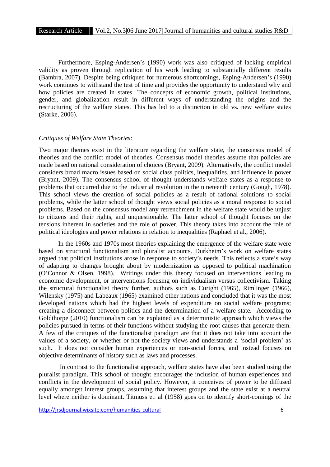Furthermore, Esping-Andersen's (1990) work was also critiqued of lacking empirical validity as proven through replication of his work leading to substantially different results (Bambra, 2007). Despite being critiqued for numerous shortcomings, Esping-Andersen's (1990) work continues to withstand the test of time and provides the opportunity to understand why and how policies are created in states. The concepts of economic growth, political institutions, gender, and globalization result in different ways of understanding the origins and the restructuring of the welfare states. This has led to a distinction in old vs. new welfare states (Starke, 2006).

#### *Critiques of Welfare State Theories:*

Two major themes exist in the literature regarding the welfare state, the consensus model of theories and the conflict model of theories. Consensus model theories assume that policies are made based on rational consideration of choices (Bryant, 2009). Alternatively, the conflict model considers broad macro issues based on social class politics, inequalities, and influence in power (Bryant, 2009). The consensus school of thought understands welfare states as a response to problems that occurred due to the industrial revolution in the nineteenth century (Gough, 1978). This school views the creation of social policies as a result of rational solutions to social problems, while the latter school of thought views social policies as a moral response to social problems. Based on the consensus model any retrenchment in the welfare state would be unjust to citizens and their rights, and unquestionable. The latter school of thought focuses on the tensions inherent in societies and the role of power. This theory takes into account the role of political ideologies and power relations in relation to inequalities (Raphael et al., 2006).

In the 1960s and 1970s most theories explaining the emergence of the welfare state were based on structural functionalism and pluralist accounts. Durkheim's work on welfare states argued that political institutions arose in response to society's needs. This reflects a state's way of adapting to changes brought about by modernization as opposed to political machination (O'Connor & Olsen, 1998). Writings under this theory focused on interventions leading to economic development, or interventions focusing on individualism versus collectivism. Taking the structural functionalist theory further, authors such as Curight (1965), Rimlinger (1966), Wilensky (1975) and Labeaux (1965) examined other nations and concluded that it was the most developed nations which had the highest levels of expenditure on social welfare programs; creating a disconnect between politics and the determination of a welfare state. According to Goldthorpe (2010) functionalism can be explained as a deterministic approach which views the policies pursued in terms of their functions without studying the root causes that generate them. A few of the critiques of the functionalist paradigm are that it does not take into account the values of a society, or whether or not the society views and understands a 'social problem' as such. It does not consider human experiences or non-social forces, and instead focuses on objective determinants of history such as laws and processes.

In contrast to the functionalist approach, welfare states have also been studied using the pluralist paradigm. This school of thought encourages the inclusion of human experiences and conflicts in the development of social policy. However, it conceives of power to be diffused equally amongst interest groups, assuming that interest groups and the state exist at a neutral level where neither is dominant. Titmuss et. al (1958) goes on to identify short-comings of the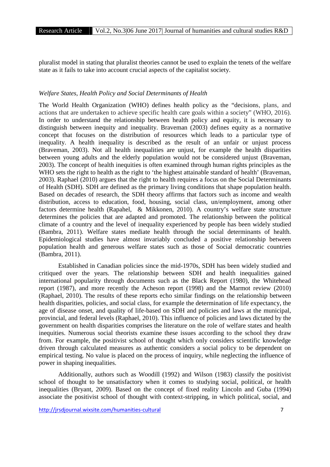pluralist model in stating that pluralist theories cannot be used to explain the tenets of the welfare state as it fails to take into account crucial aspects of the capitalist society.

#### *Welfare States, Health Policy and Social Determinants of Health*

The World Health Organization (WHO) defines health policy as the "decisions, plans, and actions that are undertaken to achieve specific health care goals within a society" (WHO, 2016). In order to understand the relationship between health policy and equity, it is necessary to distinguish between inequity and inequality. Braveman (2003) defines equity as a normative concept that focuses on the distribution of resources which leads to a particular type of inequality. A health inequality is described as the result of an unfair or unjust process (Braveman, 2003). Not all health inequalities are unjust, for example the health disparities between young adults and the elderly population would not be considered unjust (Braveman, 2003). The concept of health inequities is often examined through human rights principles as the WHO sets the right to health as the right to 'the highest attainable standard of health' (Braveman, 2003). Raphael (2010) argues that the right to health requires a focus on the Social Determinants of Health (SDH). SDH are defined as the primary living conditions that shape population health. Based on decades of research, the SDH theory affirms that factors such as income and wealth distribution, access to education, food, housing, social class, un/employment, among other factors determine health (Rapahel, & Mikkonen, 2010). A country's welfare state structure determines the policies that are adapted and promoted. The relationship between the political climate of a country and the level of inequality experienced by people has been widely studied (Bambra, 2011). Welfare states mediate health through the social determinants of health. Epidemiological studies have almost invariably concluded a positive relationship between population health and generous welfare states such as those of Social democratic countries (Bambra, 2011).

Established in Canadian policies since the mid-1970s, SDH has been widely studied and critiqued over the years. The relationship between SDH and health inequalities gained international popularity through documents such as the Black Report (1980), the Whitehead report (1987), and more recently the Acheson report (1998) and the Marmot review (2010) (Raphael, 2010). The results of these reports echo similar findings on the relationship between health disparities, policies, and social class, for example the determination of life expectancy, the age of disease onset, and quality of life-based on SDH and policies and laws at the municipal, provincial, and federal levels (Raphael, 2010). This influence of policies and laws dictated by the government on health disparities comprises the literature on the role of welfare states and health inequities. Numerous social theorists examine these issues according to the school they draw from. For example, the positivist school of thought which only considers scientific knowledge driven through calculated measures as authentic considers a social policy to be dependent on empirical testing. No value is placed on the process of inquiry, while neglecting the influence of power in shaping inequalities.

Additionally, authors such as Woodill (1992) and Wilson (1983) classify the positivist school of thought to be unsatisfactory when it comes to studying social, political, or health inequalities (Bryant, 2009). Based on the concept of fixed reality Lincoln and Guba (1994) associate the positivist school of thought with context-stripping, in which political, social, and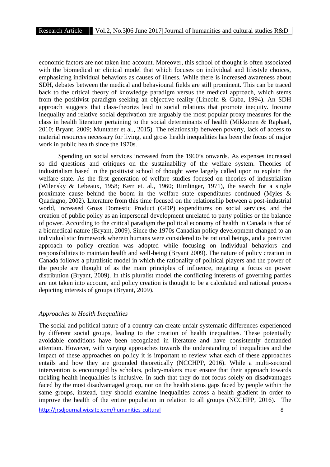economic factors are not taken into account. Moreover, this school of thought is often associated with the biomedical or clinical model that which focuses on individual and lifestyle choices, emphasizing individual behaviors as causes of illness. While there is increased awareness about SDH, debates between the medical and behavioural fields are still prominent. This can be traced back to the critical theory of knowledge paradigm versus the medical approach, which stems from the positivist paradigm seeking an objective reality (Lincoln & Guba, 1994). An SDH approach suggests that class-theories lead to social relations that promote inequity. Income inequality and relative social deprivation are arguably the most popular proxy measures for the class in health literature pertaining to the social determinants of health (Mikkonen & Raphael, 2010; Bryant, 2009; Muntaner et al., 2015). The relationship between poverty, lack of access to material resources necessary for living, and gross health inequalities has been the focus of major work in public health since the 1970s.

Spending on social services increased from the 1960's onwards. As expenses increased so did questions and critiques on the sustainability of the welfare system. Theories of industrialism based in the positivist school of thought were largely called upon to explain the welfare state. As the first generation of welfare studies focused on theories of industrialism (Wilensky & Lebeaux, 1958; Kerr et. al., 1960; Rimlinger, 1971), the search for a single proximate cause behind the boom in the welfare state expenditures continued (Myles & Quadagno, 2002). Literature from this time focused on the relationship between a post-industrial world, increased Gross Domestic Product (GDP) expenditures on social services, and the creation of public policy as an impersonal development unrelated to party politics or the balance of power. According to the critical paradigm the political economy of health in Canada is that of a biomedical nature (Bryant, 2009). Since the 1970s Canadian policy development changed to an individualistic framework wherein humans were considered to be rational beings, and a positivist approach to policy creation was adopted while focusing on individual behaviors and responsibilities to maintain health and well-being (Bryant 2009). The nature of policy creation in Canada follows a pluralistic model in which the rationality of political players and the power of the people are thought of as the main principles of influence, negating a focus on power distribution (Bryant, 2009). In this pluralist model the conflicting interests of governing parties are not taken into account, and policy creation is thought to be a calculated and rational process depicting interests of groups (Bryant, 2009).

#### *Approaches to Health Inequalities*

The social and political nature of a country can create unfair systematic differences experienced by different social groups, leading to the creation of health inequalities. These potentially avoidable conditions have been recognized in literature and have consistently demanded attention. However, with varying approaches towards the understanding of inequalities and the impact of these approaches on policy it is important to review what each of these approaches entails and how they are grounded theoretically (NCCHPP, 2016). While a multi-sectoral intervention is encouraged by scholars, policy-makers must ensure that their approach towards tackling health inequalities is inclusive. In such that they do not focus solely on disadvantages faced by the most disadvantaged group, nor on the health status gaps faced by people within the same groups, instead, they should examine inequalities across a health gradient in order to improve the health of the entire population in relation to all groups (NCCHPP, 2016). The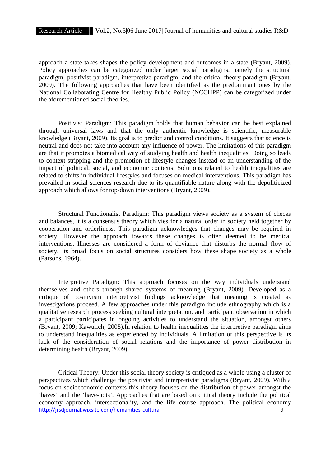approach a state takes shapes the policy development and outcomes in a state (Bryant, 2009). Policy approaches can be categorized under larger social paradigms, namely the structural paradigm, positivist paradigm, interpretive paradigm, and the critical theory paradigm (Bryant, 2009). The following approaches that have been identified as the predominant ones by the National Collaborating Centre for Healthy Public Policy (NCCHPP) can be categorized under the aforementioned social theories.

Positivist Paradigm: This paradigm holds that human behavior can be best explained through universal laws and that the only authentic knowledge is scientific, measurable knowledge (Bryant, 2009). Its goal is to predict and control conditions. It suggests that science is neutral and does not take into account any influence of power. The limitations of this paradigm are that it promotes a biomedical way of studying health and health inequalities. Doing so leads to context-stripping and the promotion of lifestyle changes instead of an understanding of the impact of political, social, and economic contexts. Solutions related to health inequalities are related to shifts in individual lifestyles and focuses on medical interventions. This paradigm has prevailed in social sciences research due to its quantifiable nature along with the depoliticized approach which allows for top-down interventions (Bryant, 2009).

Structural Functionalist Paradigm: This paradigm views society as a system of checks and balances, it is a consensus theory which vies for a natural order in society held together by cooperation and orderliness. This paradigm acknowledges that changes may be required in society. However the approach towards these changes is often deemed to be medical interventions. Illnesses are considered a form of deviance that disturbs the normal flow of society. Its broad focus on social structures considers how these shape society as a whole (Parsons, 1964).

Interpretive Paradigm: This approach focuses on the way individuals understand themselves and others through shared systems of meaning (Bryant, 2009). Developed as a critique of positivism interpretivist findings acknowledge that meaning is created as investigations proceed. A few approaches under this paradigm include ethnography which is a qualitative research process seeking cultural interpretation, and participant observation in which a participant participates in ongoing activities to understand the situation, amongst others (Bryant, 2009; Kawulich, 2005).In relation to health inequalities the interpretive paradigm aims to understand inequalities as experienced by individuals. A limitation of this perspective is its lack of the consideration of social relations and the importance of power distribution in determining health (Bryant, 2009).

http://jrsdjournal.wixsite.com/humanities-cultural 9 Critical Theory: Under this social theory society is critiqued as a whole using a cluster of perspectives which challenge the positivist and interpretivist paradigms (Bryant, 2009). With a focus on socioeconomic contexts this theory focuses on the distribution of power amongst the 'haves' and the 'have-nots'. Approaches that are based on critical theory include the political economy approach, intersectionality, and the life course approach. The political economy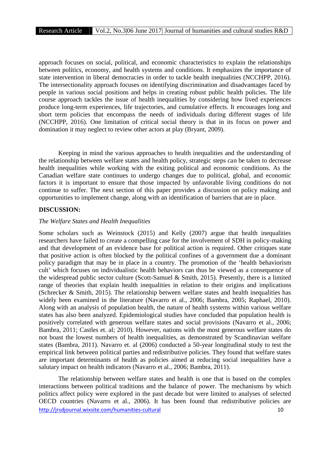approach focuses on social, political, and economic characteristics to explain the relationships between politics, economy, and health systems and conditions. It emphasizes the importance of state intervention in liberal democracies in order to tackle health inequalities (NCCHPP, 2016). The intersectionality approach focuses on identifying discrimination and disadvantages faced by people in various social positions and helps in creating robust public health policies. The life course approach tackles the issue of health inequalities by considering how lived experiences produce long-term experiences, life trajectories, and cumulative effects. It encourages long and short term policies that encompass the needs of individuals during different stages of life (NCCHPP, 2016). One limitation of critical social theory is that in its focus on power and domination it may neglect to review other actors at play (Bryant, 2009).

Keeping in mind the various approaches to health inequalities and the understanding of the relationship between welfare states and health policy, strategic steps can be taken to decrease health inequalities while working with the exiting political and economic conditions. As the Canadian welfare state continues to undergo changes due to political, global, and economic factors it is important to ensure that those impacted by unfavorable living conditions do not continue to suffer. The next section of this paper provides a discussion on policy making and opportunities to implement change, along with an identification of barriers that are in place.

# **DISCUSSION:**

#### *The Welfare States and Health Inequalities*

Some scholars such as Weinstock (2015) and Kelly (2007) argue that health inequalities researchers have failed to create a compelling case for the involvement of SDH in policy-making and that development of an evidence base for political action is required. Other critiques state that positive action is often blocked by the political confines of a government due a dominant policy paradigm that may be in place in a country. The promotion of the 'health behaviorism cult' which focuses on individualistic health behaviors can thus be viewed as a consequence of the widespread public sector culture (Scott-Samuel & Smith, 2015). Presently, there is a limited range of theories that explain health inequalities in relation to their origins and implications (Schrecker & Smith, 2015). The relationship between welfare states and health inequalities has widely been examined in the literature (Navarro et al., 2006; Bambra, 2005; Raphael, 2010). Along with an analysis of population health, the nature of health systems within various welfare states has also been analyzed. Epidemiological studies have concluded that population health is positively correlated with generous welfare states and social provisions (Navarro et al., 2006; Bambra, 2011; Castles et. al; 2010). However, nations with the most generous welfare states do not boast the lowest numbers of health inequalities, as demonstrated by Scandinavian welfare states (Bambra, 2011). Navarro et. al (2006) conducted a 50-year longitudinal study to test the empirical link between political parties and redistributive policies. They found that welfare states are important determinants of health as policies aimed at reducing social inequalities have a salutary impact on health indicators (Navarro et al., 2006; Bambra, 2011).

http://jrsdjournal.wixsite.com/humanities-cultural 10 The relationship between welfare states and health is one that is based on the complex interactions between political traditions and the balance of power. The mechanisms by which politics affect policy were explored in the past decade but were limited to analyses of selected OECD countries (Navarro et al., 2006). It has been found that redistributive policies are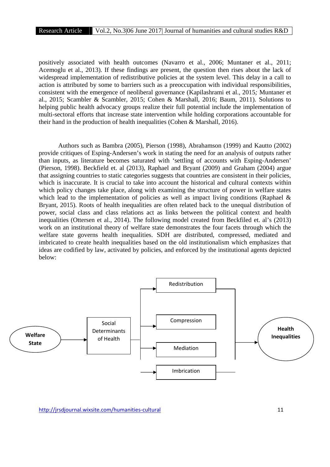positively associated with health outcomes (Navarro et al., 2006; Muntaner et al., 2011; Acemoglu et al., 2013). If these findings are present, the question then rises about the lack of widespread implementation of redistributive policies at the system level. This delay in a call to action is attributed by some to barriers such as a preoccupation with individual responsibilities, consistent with the emergence of neoliberal governance (Kapilashrami et al., 2015*;* Muntaner et al., 2015; Scambler & Scambler, 2015; Cohen & Marshall, 2016; Baum, 2011). Solutions to helping public health advocacy groups realize their full potential include the implementation of multi-sectoral efforts that increase state intervention while holding corporations accountable for their hand in the production of health inequalities (Cohen & Marshall, 2016).

Authors such as Bambra (2005), Pierson (1998), Abrahamson (1999) and Kautto (2002) provide critiques of Esping-Andersen's work in stating the need for an analysis of outputs rather than inputs, as literature becomes saturated with 'settling of accounts with Esping-Andersen' (Pierson, 1998). Beckfield et. al (2013), Raphael and Bryant (2009) and Graham (2004) argue that assigning countries to static categories suggests that countries are consistent in their policies, which is inaccurate. It is crucial to take into account the historical and cultural contexts within which policy changes take place, along with examining the structure of power in welfare states which lead to the implementation of policies as well as impact living conditions (Raphael  $\&$ Bryant, 2015). Roots of health inequalities are often related back to the unequal distribution of power, social class and class relations act as links between the political context and health inequalities (Ottersen et al., 2014). The following model created from Beckfiled et. al's (2013) work on an institutional theory of welfare state demonstrates the four facets through which the welfare state governs health inequalities. SDH are distributed, compressed, mediated and imbricated to create health inequalities based on the old institutionalism which emphasizes that ideas are codified by law, activated by policies, and enforced by the institutional agents depicted below:

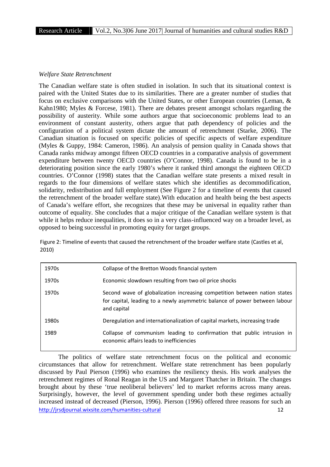#### *Welfare State Retrenchment*

The Canadian welfare state is often studied in isolation. In such that its situational context is paired with the United States due to its similarities. There are a greater number of studies that focus on exclusive comparisons with the United States, or other European countries (Leman, & Kahn1980; Myles & Forcese, 1981). There are debates present amongst scholars regarding the possibility of austerity. While some authors argue that socioeconomic problems lead to an environment of constant austerity, others argue that path dependency of policies and the configuration of a political system dictate the amount of retrenchment (Starke, 2006). The Canadian situation is focused on specific policies of specific aspects of welfare expenditure (Myles & Guppy, 1984: Cameron, 1986). An analysis of pension quality in Canada shows that Canada ranks midway amongst fifteen OECD countries in a comparative analysis of government expenditure between twenty OECD countries (O'Connor, 1998). Canada is found to be in a deteriorating position since the early 1980's where it ranked third amongst the eighteen OECD countries. O'Connor (1998) states that the Canadian welfare state presents a mixed result in regards to the four dimensions of welfare states which she identifies as decommodification, solidarity, redistribution and full employment (See Figure 2 for a timeline of events that caused the retrenchment of the broader welfare state).With education and health being the best aspects of Canada's welfare effort, she recognizes that these may be universal in equality rather than outcome of equality. She concludes that a major critique of the Canadian welfare system is that while it helps reduce inequalities, it does so in a very class-influenced way on a broader level, as opposed to being successful in promoting equity for target groups.

Figure 2: Timeline of events that caused the retrenchment of the broader welfare state (Castles et al, 2010)

| 1970s | Collapse of the Bretton Woods financial system                                                                                                                         |
|-------|------------------------------------------------------------------------------------------------------------------------------------------------------------------------|
| 1970s | Economic slowdown resulting from two oil price shocks                                                                                                                  |
| 1970s | Second wave of globalization increasing competition between nation states<br>for capital, leading to a newly asymmetric balance of power between labour<br>and capital |
| 1980s | Deregulation and internationalization of capital markets, increasing trade                                                                                             |
| 1989  | Collapse of communism leading to confirmation that public intrusion in<br>economic affairs leads to inefficiencies                                                     |

http://irsdiournal.wixsite.com/humanities-cultural 12 The politics of welfare state retrenchment focus on the political and economic circumstances that allow for retrenchment. Welfare state retrenchment has been popularly discussed by Paul Pierson (1996) who examines the resiliency thesis. His work analyses the retrenchment regimes of Ronal Reagan in the US and Margaret Thatcher in Britain. The changes brought about by these 'true neoliberal believers' led to market reforms across many areas. Surprisingly, however, the level of government spending under both these regimes actually increased instead of decreased (Pierson, 1996). Pierson (1996) offered three reasons for such an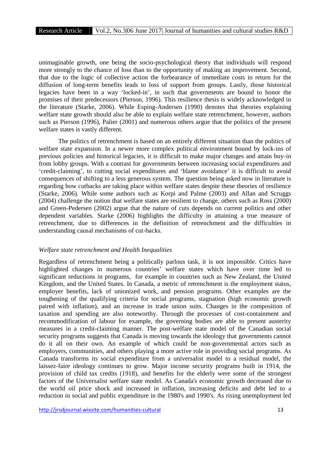unimaginable growth, one being the socio-psychological theory that individuals will respond more strongly to the chance of loss than to the opportunity of making an improvement. Second, that due to the logic of collective action the forbearance of immediate costs in return for the diffusion of long-term benefits leads to loss of support from groups. Lastly, those historical legacies have been in a way 'locked-in', in such that governments are bound to honor the promises of their predecessors (Pierson, 1996). This resilience thesis is widely acknowledged in the literature (Starke, 2006). While Esping-Andersen (1990) denotes that theories explaining welfare state growth should also be able to explain welfare state retrenchment, however, authors such as Pierson (1996), Palier (2001) and numerous others argue that the politics of the present welfare states is vastly different.

The politics of retrenchment is based on an entirely different situation than the politics of welfare state expansion. In a newer more complex political environment bound by lock-ins of previous policies and historical legacies, it is difficult to make major changes and attain buy-in from lobby groups. With a contrast for governments between increasing social expenditures and 'credit-claiming', to cutting social expenditures and 'blame avoidance' it is difficult to avoid consequences of shifting to a less generous system. The question being asked now in literature is regarding how cutbacks are taking place within welfare states despite these theories of resilience (Starke, 2006). While some authors such as Korpi and Palme (2003) and Allan and Scruggs (2004) challenge the notion that welfare states are resilient to change, others such as Ross (2000) and Green-Pedersen (2002) argue that the nature of cuts depends on current politics and other dependent variables. Starke (2006) highlights the difficulty in attaining a true measure of retrenchment, due to differences in the definition of retrenchment and the difficulties in understanding causal mechanisms of cut-backs.

#### *Welfare state retrenchment and Health Inequalities*

Regardless of retrenchment being a politically parlous task, it is not impossible. Critics have highlighted changes in numerous countries' welfare states which have over time led to significant reductions in programs, for example in countries such as New Zealand, the United Kingdom, and the United States. In Canada, a metric of retrenchment is the employment status, employer benefits, lack of unionized work, and pension programs. Other examples are the toughening of the qualifying criteria for social programs, stagnation (high economic growth paired with inflation), and an increase in trade union suits. Changes in the composition of taxation and spending are also noteworthy. Through the processes of cost-containment and recommodification of labour for example, the governing bodies are able to present austerity measures in a credit-claiming manner. The post-welfare state model of the Canadian social security programs suggests that Canada is moving towards the ideology that governments cannot do it all on their own. An example of which could be non-governmental actors such as employers, communities, and others playing a more active role in providing social programs. As Canada transforms its social expenditure from a universalist model to a residual model, the laissez-faire ideology continues to grow. Major income security programs built in 1914, the provision of child tax credits (1918), and benefits for the elderly were some of the strongest factors of the Universalist welfare state model. As Canada's economic growth decreased due to the world oil price shock and increased in inflation, increasing deficits and debt led to a reduction in social and public expenditure in the 1980's and 1990's. As rising unemployment led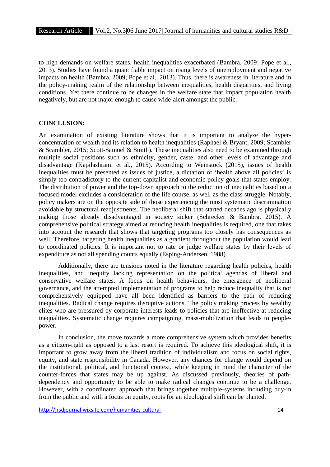to high demands on welfare states, health inequalities exacerbated (Bambra, 2009; Pope et al., 2013). Studies have found a quantifiable impact on rising levels of unemployment and negative impacts on health (Bambra, 2009; Pope et al., 2013). Thus, there is awareness in literature and in the policy-making realm of the relationship between inequalities, health disparities, and living conditions. Yet there continue to be changes in the welfare state that impact population health negatively, but are not major enough to cause wide-alert amongst the public.

## **CONCLUSION:**

An examination of existing literature shows that it is important to analyze the hyper concentration of wealth and its relation to health inequalities (Raphael & Bryant, 2009; Scambler & Scambler, 2015; Scott-Samuel & Smith). These inequalities also need to be examined through multiple social positions such as ethnicity, gender, caste, and other levels of advantage and disadvantage (Kapilashrami et al., 2015). According to Weinstock (2015), issues of health inequalities must be presented as issues of justice, a dictation of 'health above all policies' is simply too contradictory to the current capitalist and economic policy goals that states employ. The distribution of power and the top-down approach to the reduction of inequalities based on a focused model excludes a consideration of the life course, as well as the class struggle. Notably, policy makers are on the opposite side of those experiencing the most systematic discrimination avoidable by structural readjustments. The neoliberal shift that started decades ago is physically making those already disadvantaged in society sicker (Schrecker & Bambra, 2015). A comprehensive political strategy aimed at reducing health inequalities is required, one that takes into account the research that shows that targeting programs too closely has consequences as well. Therefore, targeting health inequalities as a gradient throughout the population would lead to coordinated policies. It is important not to rate or judge welfare states by their levels of expenditure as not all spending counts equally (Esping-Andersen, 1988).

Additionally, there are tensions noted in the literature regarding health policies, health inequalities, and inequity lacking representation on the political agendas of liberal and conservative welfare states. A focus on health behaviours, the emergence of neoliberal governance, and the attempted implementation of programs to help reduce inequality that is not comprehensively equipped have all been identified as barriers to the path of reducing inequalities. Radical change requires disruptive actions. The policy making process by wealthy elites who are pressured by corporate interests leads to policies that are ineffective at reducing inequalities. Systematic change requires campaigning, mass-mobilization that leads to people power.

In conclusion, the move towards a more comprehensive system which provides benefits as a citizen-right as opposed to a last resort is required. To achieve this ideological shift, it is important to grow away from the liberal tradition of individualism and focus on social rights, equity, and state responsibility in Canada. However, any chances for change would depend on the institutional, political, and functional context, while keeping in mind the character of the counter-forces that states may be up against. As discussed previously, theories of path dependency and opportunity to be able to make radical changes continue to be a challenge. However, with a coordinated approach that brings together multiple-systems including buy-in from the public and with a focus on equity, roots for an ideological shift can be planted.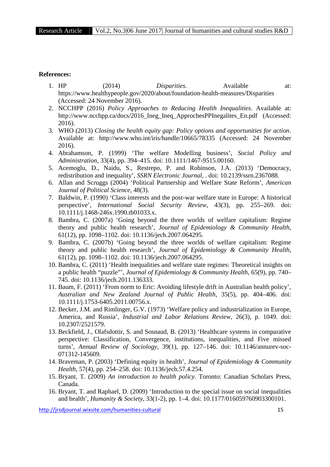#### **References:**

- 1. HP (2014) *Disparities*. Available at: https://www.healthypeople.gov/2020/about/foundation-health-measures/Disparities (Accessed: 24 November 2016).
- 2. NCCHPP (2016) *Policy Approaches to Reducing Health Inequalities*. Available at: http://www.ncchpp.ca/docs/2016\_Ineg\_Ineq\_ApprochesPPInegalites\_En.pdf (Accessed: 2016).
- 3. WHO (2013) *Closing the health equity gap: Policy options and opportunities for action*. Available at: http://www.who.int/iris/handle/10665/78335 (Accessed: 24 November 2016).
- 4. Abrahamson, P. (1999) 'The welfare Modelling business', *Social Policy and Administration*, 33(4), pp. 394–415. doi: 10.1111/1467-9515.00160.
- 5. Acemoglu, D., Naidu, S., Restrepo, P. and Robinson, J.A. (2013) 'Democracy, redistribution and inequality', *SSRN Electronic Journal*, . doi: 10.2139/ssrn.2367088.
- 6. Allan and Scruggs (2004) 'Political Partnership and Welfare State Reform', *American Journal of Political Science*, 48(3).
- 7. Baldwin, P. (1990) 'Class interests and the post-war welfare state in Europe: A historical perspective', *International Social Security Review*, 43(3), pp. 255–269. doi: 10.1111/j.1468-246x.1990.tb01033.x.
- 8. Bambra, C. (2007a) 'Going beyond the three worlds of welfare capitalism: Regime theory and public health research', *Journal of Epidemiology & Community Health*, 61(12), pp. 1098–1102. doi: 10.1136/jech.2007.064295.
- 9. Bambra, C. (2007b) 'Going beyond the three worlds of welfare capitalism: Regime theory and public health research', *Journal of Epidemiology & Community Health*, 61(12), pp. 1098–1102. doi: 10.1136/jech.2007.064295.
- 10. Bambra, C. (2011) 'Health inequalities and welfare state regimes: Theoretical insights on a public health "puzzle"', *Journal of Epidemiology & Community Health*, 65(9), pp. 740– 745. doi: 10.1136/jech.2011.136333.
- 11. Baum, F. (2011) 'From norm to Eric: Avoiding lifestyle drift in Australian health policy', *Australian and New Zealand Journal of Public Health*, 35(5), pp. 404–406. doi: 10.1111/j.1753-6405.2011.00756.x.
- 12. Becker, J.M. and Rimlinger, G.V. (1973) 'Welfare policy and industrialization in Europe, America, and Russia', *Industrial and Labor Relations Review*, 26(3), p. 1049. doi: 10.2307/2521579.
- 13. Beckfield, J., Olafsdottir, S. and Sosnaud, B. (2013) 'Healthcare systems in comparative perspective: Classification, Convergence, institutions, inequalities, and Five missed turns', *Annual Review of Sociology*, 39(1), pp. 127–146. doi: 10.1146/annurev-soc- 071312-145609.
- 14. Braveman, P. (2003) 'Defining equity in health', *Journal of Epidemiology & Community Health*, 57(4), pp. 254–258. doi: 10.1136/jech.57.4.254.
- 15. Bryant, T. (2009) *An introduction to health policy*. Toronto: Canadian Scholars Press, Canada.
- 16. Bryant, T. and Raphael, D. (2009) 'Introduction to the special issue on social inequalities and health', *Humanity & Society*, 33(1-2), pp. 1–4. doi: 10.1177/016059760903300101.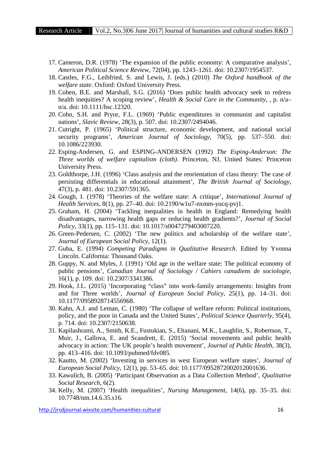- 17. Cameron, D.R. (1978) 'The expansion of the public economy: A comparative analysis', *American Political Science Review*, 72(04), pp. 1243–1261. doi: 10.2307/1954537.
- 18. Castles, F.G., Leibfried, S. and Lewis, J. (eds.) (2010) *The Oxford handbook of the welfare state*. Oxford: Oxford University Press.
- 19. Cohen, B.E. and Marshall, S.G. (2016) 'Does public health advocacy seek to redress health inequities? A scoping review', *Health & Social Care in the Community*, , p. n/a– n/a. doi: 10.1111/hsc.12320.
- 20. Cohn, S.H. and Pryor, F.L. (1969) 'Public expenditures in communist and capitalist nations', *Slavic Review*, 28(3), p. 507. doi: 10.2307/2494046.
- 21. Cutright, P. (1965) 'Political structure, economic development, and national social security programs', *American Journal of Sociology*, 70(5), pp. 537–550. doi: 10.1086/223930.
- 22. Esping-Andersen, G. and ESPING-ANDERSEN (1992) *The Esping-Anderson: The Three worlds of welfare capitalism (cloth)*. Princeton, NJ, United States: Princeton University Press.
- 23. Goldthorpe, J.H. (1996) 'Class analysis and the reorientation of class theory: The case of persisting differentials in educational attainment', *The British Journal of Sociology*, 47(3), p. 481. doi: 10.2307/591365.
- 24. Gough, I. (1978) 'Theories of the welfare state: A critique', *International Journal of Health Services*, 8(1), pp. 27–40. doi: 10.2190/w1u7-nxmm-yucq-pvj1.
- 25. Graham, H. (2004) 'Tackling inequalities in health in England: Remedying health disadvantages, narrowing health gaps or reducing health gradients?', *Journal of Social Policy*, 33(1), pp. 115–131. doi: 10.1017/s0047279403007220.
- 26. Green-Pedersen, C. (2002) 'The new politics and scholarship of the welfare state', *Journal of European Social Policy*, 12(1).
- 27. Guba, E. (1994) *Competing Paradigms in Qualitative Research*. Edited by Yvonna Lincoln. California: Thousand Oaks.
- 28. Guppy, N. and Myles, J. (1991) 'Old age in the welfare state: The political economy of public pensions', *Canadian Journal of Sociology / Cahiers canadiens de sociologie*, 16(1), p. 109. doi: 10.2307/3341386.
- 29. Hook, J.L. (2015) 'Incorporating "class" into work-family arrangements: Insights from and for Three worlds', *Journal of European Social Policy*, 25(1), pp. 14–31. doi: 10.1177/0958928714556968.
- 30. Kahn, A.J. and Leman, C. (1980) 'The collapse of welfare reform: Political institutions, policy, and the poor in Canada and the United States', *Political Science Quarterly*, 95(4), p. 714. doi: 10.2307/2150638.
- 31. Kapilashrami, A., Smith, K.E., Fustukian, S., Eltanani, M.K., Laughlin, S., Robertson, T., Muir, J., Gallova, E. and Scandrett, E. (2015) 'Social movements and public health advocacy in action: The UK people's health movement', *Journal of Public Health*, 38(3), pp. 413–416. doi: 10.1093/pubmed/fdv085.
- 32. Kautto, M. (2002) 'Investing in services in west European welfare states', *Journal of European Social Policy*, 12(1), pp. 53–65. doi: 10.1177/0952872002012001636.
- 33. Kawulich, B. (2005) 'Participant Observation as a Data Collection Method', *Qualitative Social Research*, 6(2).
- 34. Kelly, M. (2007) 'Health inequalities', *Nursing Management*, 14(6), pp. 35–35. doi: 10.7748/nm.14.6.35.s16.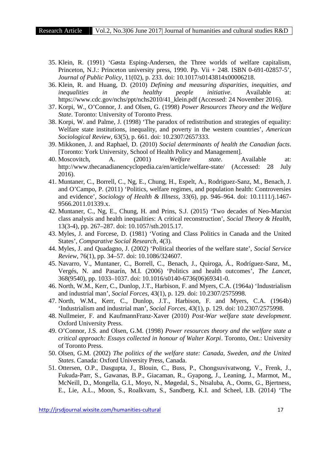- 35. Klein, R. (1991) 'Gøsta Esping-Andersen, the Three worlds of welfare capitalism, Princeton, N.J.: Princeton university press, 1990. Pp. Vii + 248. ISBN 0-691-02857-5', *Journal of Public Policy*, 11(02), p. 233. doi: 10.1017/s0143814x00006218.
- 36. Klein, R. and Huang, D. (2010) *Defining and measuring disparities, inequities, and inequalities in the healthy people initiative*. Available at: https://www.cdc.gov/nchs/ppt/nchs2010/41\_klein.pdf (Accessed: 24 November 2016).
- 37. Korpi, W., O'Connor, J. and Olsen, G. (1998) *Power Resources Theory and the Welfare State*. Toronto: University of Toronto Press.
- 38. Korpi, W. and Palme, J. (1998) 'The paradox of redistribution and strategies of equality: Welfare state institutions, inequality, and poverty in the western countries', *American Sociological Review*, 63(5), p. 661. doi: 10.2307/2657333.
- 39. Mikkonen, J. and Raphael, D. (2010) *Social determinants of health the Canadian facts*. [Toronto: York University, School of Health Policy and Management].
- 40. Moscovitch, A. (2001) *Welfare state*. Available at: http://www.thecanadianencyclopedia.ca/en/article/welfare-state/ (Accessed: 28 July 2016).
- 41. Muntaner, C., Borrell, C., Ng, E., Chung, H., Espelt, A., Rodriguez-Sanz, M., Benach, J. and O'Campo, P. (2011) 'Politics, welfare regimes, and population health: Controversies and evidence', *Sociology of Health & Illness*, 33(6), pp. 946–964. doi: 10.1111/j.1467- 9566.2011.01339.x.
- 42. Muntaner, C., Ng, E., Chung, H. and Prins, S.J. (2015) 'Two decades of Neo-Marxist class analysis and health inequalities: A critical reconstruction', *Social Theory & Health*, 13(3-4), pp. 267–287. doi: 10.1057/sth.2015.17.
- 43. Myles, J. and Forcese, D. (1981) 'Voting and Class Politics in Canada and the United States', *Comparative Social Research*, 4(3).
- 44. Myles, J. and Quadagno, J. (2002) 'Political theories of the welfare state', *Social Service Review*, 76(1), pp. 34–57. doi: 10.1086/324607.
- 45. Navarro, V., Muntaner, C., Borrell, C., Benach, J., Quiroga, Á., Rodríguez-Sanz, M., Vergés, N. and Pasarín, M.I. (2006) 'Politics and health outcomes', *The Lancet*, 368(9540), pp. 1033–1037. doi: 10.1016/s0140-6736(06)69341-0.
- 46. North, W.M., Kerr, C., Dunlop, J.T., Harbison, F. and Myers, C.A. (1964a) 'Industrialism and industrial man', *Social Forces*, 43(1), p. 129. doi: 10.2307/2575998.
- 47. North, W.M., Kerr, C., Dunlop, J.T., Harbison, F. and Myers, C.A. (1964b) 'Industrialism and industrial man', *Social Forces*, 43(1), p. 129. doi: 10.2307/2575998.
- 48. Nullmeier, F. and KaufmannFranz‐Xaver (2010) *Post‐War welfare state development*. Oxford University Press.
- 49. O'Connor, J.S. and Olsen, G.M. (1998) *Power resources theory and the welfare state a critical approach: Essays collected in honour of Walter Korpi*. Toronto, Ont.: University of Toronto Press.
- 50. Olsen, G.M. (2002) *The politics of the welfare state: Canada, Sweden, and the United States*. Canada: Oxford University Press, Canada.
- 51. Ottersen, O.P., Dasgupta, J., Blouin, C., Buss, P., Chongsuvivatwong, V., Frenk, J., Fukuda-Parr, S., Gawanas, B.P., Giacaman, R., Gyapong, J., Leaning, J., Marmot, M., McNeill, D., Mongella, G.I., Moyo, N., Møgedal, S., Ntsaluba, A., Ooms, G., Bjertness, E., Lie, A.L., Moon, S., Roalkvam, S., Sandberg, K.I. and Scheel, I.B. (2014) 'The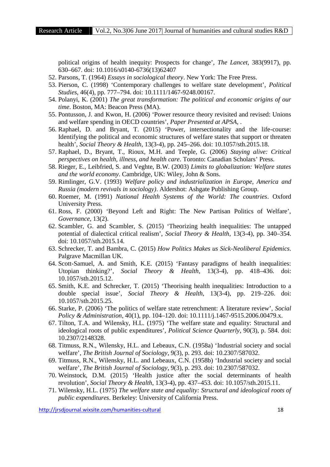political origins of health inequity: Prospects for change', *The Lancet*, 383(9917), pp. 630–667. doi: 10.1016/s0140-6736(13)62407

- 52. Parsons, T. (1964) *Essays in sociological theory*. New York: The Free Press.
- 53. Pierson, C. (1998) 'Contemporary challenges to welfare state development', *Political Studies*, 46(4), pp. 777–794. doi: 10.1111/1467-9248.00167.
- 54. Polanyi, K. (2001) *The great transformation: The political and economic origins of our time*. Boston, MA: Beacon Press (MA).
- 55. Pontusson, J. and Kwon, H. (2006) 'Power resource theory revisited and revised: Unions and welfare spending in OECD countries', *Paper Presented at APSA*, .
- 56. Raphael, D. and Bryant, T. (2015) 'Power, intersectionality and the life-course: Identifying the political and economic structures of welfare states that support or threaten health', *Social Theory & Health*, 13(3-4), pp. 245–266. doi: 10.1057/sth.2015.18.
- 57. Raphael, D., Bryant, T., Rioux, M.H. and Teeple, G. (2006) *Staying alive: Critical perspectives on health, illness, and health care*. Toronto: Canadian Scholars' Press.
- 58. Rieger, E., Leibfried, S. and Veghte, B.W. (2003) *Limits to globalization: Welfare states and the world economy*. Cambridge, UK: Wiley, John & Sons.
- 59. Rimlinger, G.V. (1993) *Welfare policy and industrialization in Europe, America and Russia (modern revivals in sociology)*. Aldershot: Ashgate Publishing Group.
- 60. Roemer, M. (1991) *National Health Systems of the World: The countries*. Oxford University Press.
- 61. Ross, F. (2000) 'Beyond Left and Right: The New Partisan Politics of Welfare', *Governance*, 13(2).
- 62. Scambler, G. and Scambler, S. (2015) 'Theorizing health inequalities: The untapped potential of dialectical critical realism', *Social Theory & Health*, 13(3-4), pp. 340–354. doi: 10.1057/sth.2015.14.
- 63. Schrecker, T. and Bambra, C. (2015) *How Politics Makes us Sick-Neoliberal Epidemics*. Palgrave Macmillan UK.
- 64. Scott-Samuel, A. and Smith, K.E. (2015) 'Fantasy paradigms of health inequalities: Utopian thinking?', *Social Theory & Health*, 13(3-4), pp. 418–436. doi: 10.1057/sth.2015.12.
- 65. Smith, K.E. and Schrecker, T. (2015) 'Theorising health inequalities: Introduction to a double special issue', *Social Theory & Health*, 13(3-4), pp. 219–226. doi: 10.1057/sth.2015.25.
- 66. Starke, P. (2006) 'The politics of welfare state retrenchment: A literature review', *Social Policy & Administration*, 40(1), pp. 104–120. doi: 10.1111/j.1467-9515.2006.00479.x.
- 67. Tilton, T.A. and Wilensky, H.L. (1975) 'The welfare state and equality: Structural and ideological roots of public expenditures', *Political Science Quarterly*, 90(3), p. 584. doi: 10.2307/2148328.
- 68. Titmuss, R.N., Wilensky, H.L. and Lebeaux, C.N. (1958a) 'Industrial society and social welfare', *The British Journal of Sociology*, 9(3), p. 293. doi: 10.2307/587032.
- 69. Titmuss, R.N., Wilensky, H.L. and Lebeaux, C.N. (1958b) 'Industrial society and social welfare', *The British Journal of Sociology*, 9(3), p. 293. doi: 10.2307/587032.
- 70. Weinstock, D.M. (2015) 'Health justice after the social determinants of health revolution', *Social Theory & Health*, 13(3-4), pp. 437–453. doi: 10.1057/sth.2015.11.
- 71. Wilensky, H.L. (1975) *The welfare state and equality: Structural and ideological roots of public expenditures*. Berkeley: University of California Press.